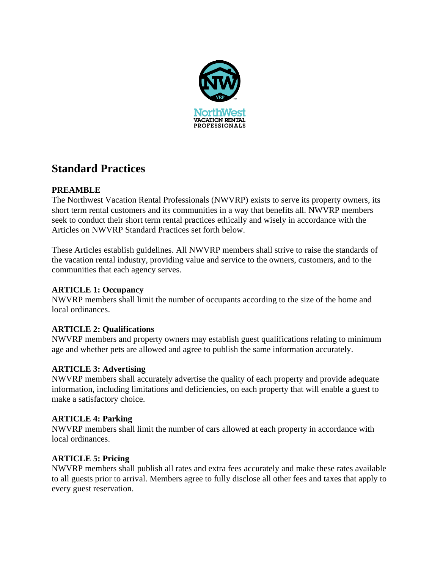

# **Standard Practices**

## **PREAMBLE**

The Northwest Vacation Rental Professionals (NWVRP) exists to serve its property owners, its short term rental customers and its communities in a way that benefits all. NWVRP members seek to conduct their short term rental practices ethically and wisely in accordance with the Articles on NWVRP Standard Practices set forth below.

These Articles establish guidelines. All NWVRP members shall strive to raise the standards of the vacation rental industry, providing value and service to the owners, customers, and to the communities that each agency serves.

## **ARTICLE 1: Occupancy**

NWVRP members shall limit the number of occupants according to the size of the home and local ordinances.

## **ARTICLE 2: Qualifications**

NWVRP members and property owners may establish guest qualifications relating to minimum age and whether pets are allowed and agree to publish the same information accurately.

## **ARTICLE 3: Advertising**

NWVRP members shall accurately advertise the quality of each property and provide adequate information, including limitations and deficiencies, on each property that will enable a guest to make a satisfactory choice.

## **ARTICLE 4: Parking**

NWVRP members shall limit the number of cars allowed at each property in accordance with local ordinances.

## **ARTICLE 5: Pricing**

NWVRP members shall publish all rates and extra fees accurately and make these rates available to all guests prior to arrival. Members agree to fully disclose all other fees and taxes that apply to every guest reservation.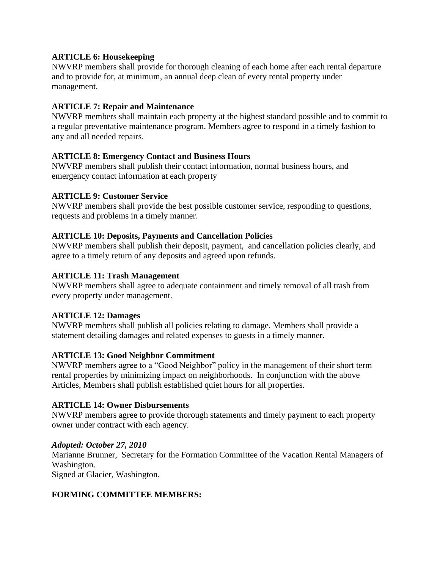## **ARTICLE 6: Housekeeping**

NWVRP members shall provide for thorough cleaning of each home after each rental departure and to provide for, at minimum, an annual deep clean of every rental property under management.

## **ARTICLE 7: Repair and Maintenance**

NWVRP members shall maintain each property at the highest standard possible and to commit to a regular preventative maintenance program. Members agree to respond in a timely fashion to any and all needed repairs.

## **ARTICLE 8: Emergency Contact and Business Hours**

NWVRP members shall publish their contact information, normal business hours, and emergency contact information at each property

#### **ARTICLE 9: Customer Service**

NWVRP members shall provide the best possible customer service, responding to questions, requests and problems in a timely manner.

#### **ARTICLE 10: Deposits, Payments and Cancellation Policies**

NWVRP members shall publish their deposit, payment, and cancellation policies clearly, and agree to a timely return of any deposits and agreed upon refunds.

## **ARTICLE 11: Trash Management**

NWVRP members shall agree to adequate containment and timely removal of all trash from every property under management.

#### **ARTICLE 12: Damages**

NWVRP members shall publish all policies relating to damage. Members shall provide a statement detailing damages and related expenses to guests in a timely manner.

## **ARTICLE 13: Good Neighbor Commitment**

NWVRP members agree to a "Good Neighbor" policy in the management of their short term rental properties by minimizing impact on neighborhoods. In conjunction with the above Articles, Members shall publish established quiet hours for all properties.

## **ARTICLE 14: Owner Disbursements**

NWVRP members agree to provide thorough statements and timely payment to each property owner under contract with each agency.

#### *Adopted: October 27, 2010*

Marianne Brunner, Secretary for the Formation Committee of the Vacation Rental Managers of Washington.

Signed at Glacier, Washington.

## **FORMING COMMITTEE MEMBERS:**